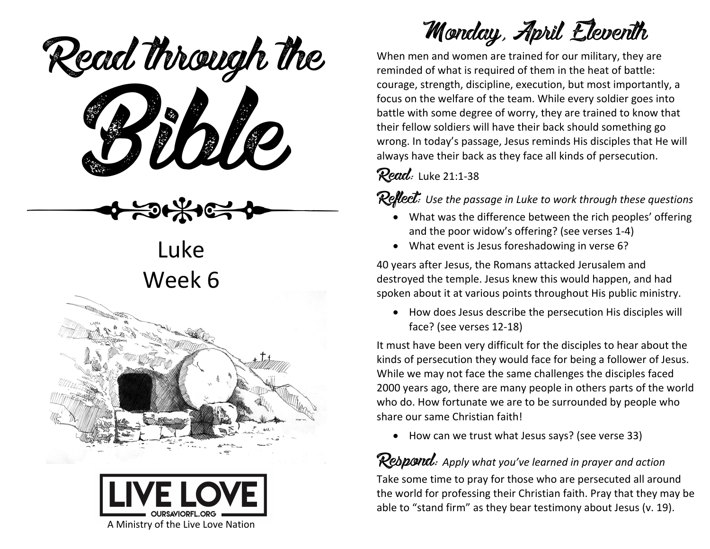ead mough is Read through the

Luke Week 6





Monday, April Eleventh

When men and women are trained for our military, they are reminded of what is required of them in the heat of battle: courage, strength, discipline, execution, but most importantly, a focus on the welfare of the team. While every soldier goes into battle with some degree of worry, they are trained to know that their fellow soldiers will have their back should something go wrong. In today's passage, Jesus reminds His disciples that He will always have their back as they face all kinds of persecution.

**Read:** Luke 21:1-38

Reflect: Use the passage in Luke to work through these questions

- What was the difference between the rich peoples' offering and the poor widow's offering? (see verses 1-4)
- What event is Jesus foreshadowing in verse 6?

40 years after Jesus, the Romans attacked Jerusalem and destroyed the temple. Jesus knew this would happen, and had spoken about it at various points throughout His public ministry.

• How does Jesus describe the persecution His disciples will face? (see verses 12-18)

It must have been very difficult for the disciples to hear about the kinds of persecution they would face for being a follower of Jesus. While we may not face the same challenges the disciples faced 2000 years ago, there are many people in others parts of the world who do. How fortunate we are to be surrounded by people who share our same Christian faith!

• How can we trust what Jesus says? (see verse 33)

## **Respond**: Apply what you've learned in prayer and action

Take some time to pray for those who are persecuted all around the world for professing their Christian faith. Pray that they may be able to "stand firm" as they bear testimony about Jesus (v. 19).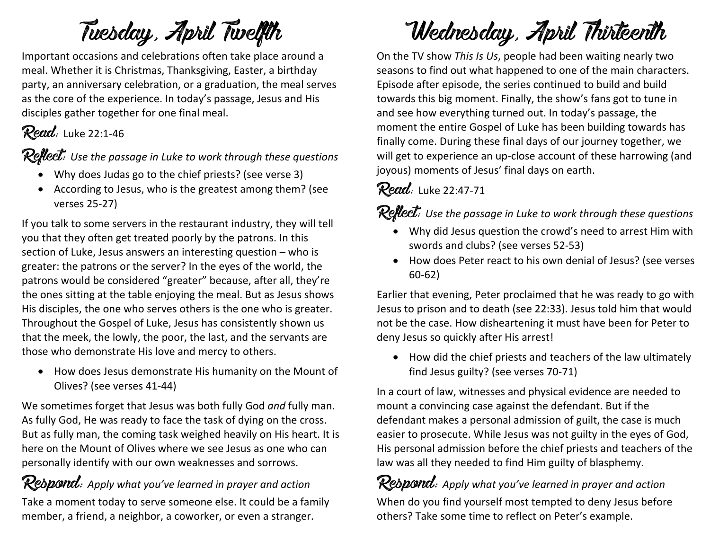# Tuesday, April Twelfth

Important occasions and celebrations often take place around a meal. Whether it is Christmas, Thanksgiving, Easter, a birthday party, an anniversary celebration, or a graduation, the meal serves as the core of the experience. In today's passage, Jesus and His disciples gather together for one final meal.

## **Read:** Luke 22:1-46

**Reflect:** Use the passage in Luke to work through these questions

- Why does Judas go to the chief priests? (see verse 3)
- According to Jesus, who is the greatest among them? (see verses 25-27)

If you talk to some servers in the restaurant industry, they will tell you that they often get treated poorly by the patrons. In this section of Luke, Jesus answers an interesting question – who is greater: the patrons or the server? In the eyes of the world, the patrons would be considered "greater" because, after all, they're the ones sitting at the table enjoying the meal. But as Jesus shows His disciples, the one who serves others is the one who is greater. Throughout the Gospel of Luke, Jesus has consistently shown us that the meek, the lowly, the poor, the last, and the servants are those who demonstrate His love and mercy to others.

• How does Jesus demonstrate His humanity on the Mount of Olives? (see verses 41-44)

We sometimes forget that Jesus was both fully God *and* fully man. As fully God, He was ready to face the task of dying on the cross. But as fully man, the coming task weighed heavily on His heart. It is here on the Mount of Olives where we see Jesus as one who can personally identify with our own weaknesses and sorrows.

## Respond: Apply what you've learned in prayer and action

Take a moment today to serve someone else. It could be a family member, a friend, a neighbor, a coworker, or even a stranger.

# Wednesday, April Thirteenth

On the TV show *This Is Us*, people had been waiting nearly two seasons to find out what happened to one of the main characters. Episode after episode, the series continued to build and build towards this big moment. Finally, the show's fans got to tune in and see how everything turned out. In today's passage, the moment the entire Gospel of Luke has been building towards has finally come. During these final days of our journey together, we will get to experience an up-close account of these harrowing (and joyous) moments of Jesus' final days on earth.

#### Read: Luke 22:47-71

#### **Reflect:** Use the passage in Luke to work through these questions

- Why did Jesus question the crowd's need to arrest Him with swords and clubs? (see verses 52-53)
- How does Peter react to his own denial of Jesus? (see verses 60-62)

Earlier that evening, Peter proclaimed that he was ready to go with Jesus to prison and to death (see 22:33). Jesus told him that would not be the case. How disheartening it must have been for Peter to deny Jesus so quickly after His arrest!

• How did the chief priests and teachers of the law ultimately find Jesus guilty? (see verses 70-71)

In a court of law, witnesses and physical evidence are needed to mount a convincing case against the defendant. But if the defendant makes a personal admission of guilt, the case is much easier to prosecute. While Jesus was not guilty in the eyes of God, His personal admission before the chief priests and teachers of the law was all they needed to find Him guilty of blasphemy.

Respond: *Apply what you've learned in prayer and action* When do you find yourself most tempted to deny Jesus before others? Take some time to reflect on Peter's example.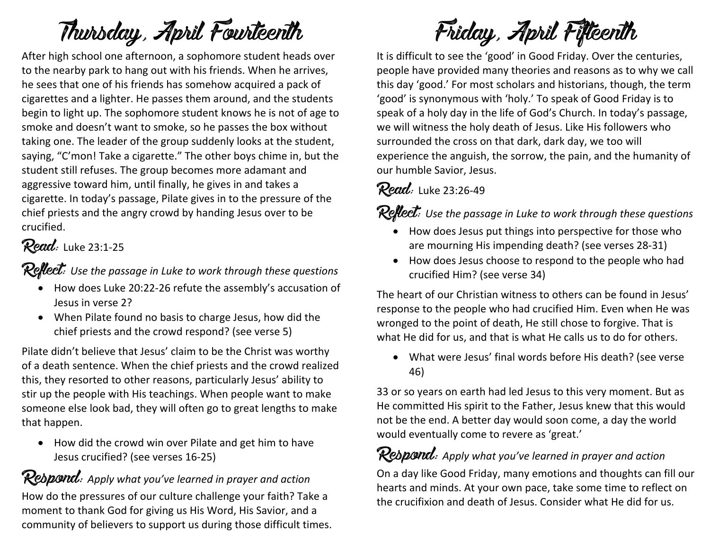# Thursday, April Fourteenth

After high school one afternoon, a sophomore student heads over to the nearby park to hang out with his friends. When he arrives, he sees that one of his friends has somehow acquired a pack of cigarettes and a lighter. He passes them around, and the students begin to light up. The sophomore student knows he is not of age to smoke and doesn't want to smoke, so he passes the box without taking one. The leader of the group suddenly looks at the student, saying, "C'mon! Take a cigarette." The other boys chime in, but the student still refuses. The group becomes more adamant and aggressive toward him, until finally, he gives in and takes a cigarette. In today's passage, Pilate gives in to the pressure of the chief priests and the angry crowd by handing Jesus over to be crucified.

#### Read: Luke 23:1-25

Reflect: *Use the passage in Luke to work through these questions*

- How does Luke 20:22-26 refute the assembly's accusation of Jesus in verse 2?
- When Pilate found no basis to charge Jesus, how did the chief priests and the crowd respond? (see verse 5)

Pilate didn't believe that Jesus' claim to be the Christ was worthy of a death sentence. When the chief priests and the crowd realized this, they resorted to other reasons, particularly Jesus' ability to stir up the people with His teachings. When people want to make someone else look bad, they will often go to great lengths to make that happen.

• How did the crowd win over Pilate and get him to have Jesus crucified? (see verses 16-25)

Respond: *Apply what you've learned in prayer and action* How do the pressures of our culture challenge your faith? Take a moment to thank God for giving us His Word, His Savior, and a community of believers to support us during those difficult times.

Friday, April Fifteenth

It is difficult to see the 'good' in Good Friday. Over the centuries, people have provided many theories and reasons as to why we call this day 'good.' For most scholars and historians, though, the term 'good' is synonymous with 'holy.' To speak of Good Friday is to speak of a holy day in the life of God's Church. In today's passage, we will witness the holy death of Jesus. Like His followers who surrounded the cross on that dark, dark day, we too will experience the anguish, the sorrow, the pain, and the humanity of our humble Savior, Jesus.

#### Read: Luke 23:26-49

Reflect: *Use the passage in Luke to work through these questions*

- How does Jesus put things into perspective for those who are mourning His impending death? (see verses 28-31)
- How does Jesus choose to respond to the people who had crucified Him? (see verse 34)

The heart of our Christian witness to others can be found in Jesus' response to the people who had crucified Him. Even when He was wronged to the point of death, He still chose to forgive. That is what He did for us, and that is what He calls us to do for others.

• What were Jesus' final words before His death? (see verse 46)

33 or so years on earth had led Jesus to this very moment. But as He committed His spirit to the Father, Jesus knew that this would not be the end. A better day would soon come, a day the world would eventually come to revere as 'great.'

## Respond: Apply what you've learned in prayer and action

On a day like Good Friday, many emotions and thoughts can fill our hearts and minds. At your own pace, take some time to reflect on the crucifixion and death of Jesus. Consider what He did for us.